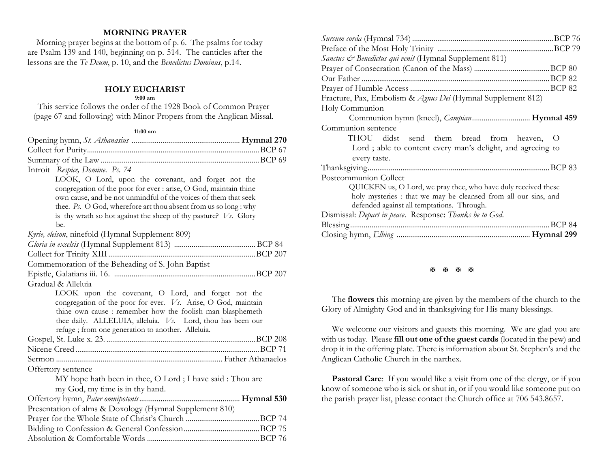## **MORNING PRAYER**

 Morning prayer begins at the bottom of p. 6. The psalms for today are Psalm 139 and 140, beginning on p. 514. The canticles after the lessons are the *Te Deum*, p. 10, and the *Benedictus Dominus*, p.14.

### **HOLY EUCHARIST**

#### **9:00 am**

This service follows the order of the 1928 Book of Common Prayer (page 67 and following) with Minor Propers from the Anglican Missal.

#### **11:00 am**

| Introit Respice, Domine. Ps. 74                                                                                   |  |
|-------------------------------------------------------------------------------------------------------------------|--|
| LOOK, O Lord, upon the covenant, and forget not the                                                               |  |
| congregation of the poor for ever : arise, O God, maintain thine                                                  |  |
| own cause, and be not unmindful of the voices of them that seek                                                   |  |
| thee. Ps. O God, wherefore art thou absent from us so long : why                                                  |  |
| is thy wrath so hot against the sheep of thy pasture? $V_s$ . Glory                                               |  |
| be.                                                                                                               |  |
| Kyrie, eleison, ninefold (Hymnal Supplement 809)                                                                  |  |
|                                                                                                                   |  |
|                                                                                                                   |  |
| Commemoration of the Beheading of S. John Baptist                                                                 |  |
|                                                                                                                   |  |
| Gradual & Alleluia                                                                                                |  |
| LOOK upon the covenant, O Lord, and forget not the                                                                |  |
| congregation of the poor for ever. Vs. Arise, O God, maintain                                                     |  |
| thine own cause : remember how the foolish man blasphemeth                                                        |  |
| thee daily. ALLELUIA, alleluia. Vs. Lord, thou has been our<br>refuge ; from one generation to another. Alleluia. |  |
|                                                                                                                   |  |
|                                                                                                                   |  |
|                                                                                                                   |  |
| Offertory sentence                                                                                                |  |
| MY hope hath been in thee, O Lord; I have said: Thou are                                                          |  |
| my God, my time is in thy hand.                                                                                   |  |
|                                                                                                                   |  |
| Presentation of alms & Doxology (Hymnal Supplement 810)                                                           |  |
|                                                                                                                   |  |
|                                                                                                                   |  |
|                                                                                                                   |  |
|                                                                                                                   |  |

| <i>Sanctus &amp; Benedictus qui venit</i> (Hymnal Supplement 811) |
|-------------------------------------------------------------------|
|                                                                   |
|                                                                   |
|                                                                   |
| Fracture, Pax, Embolism & Agnus Dei (Hymnal Supplement 812)       |
| Holy Communion                                                    |
| Communion hymn (kneel), <i>Campian</i> <b>Hymnal 459</b>          |
| Communion sentence                                                |
| THOU didst send them bread from heaven, O                         |
| Lord ; able to content every man's delight, and agreeing to       |
| every taste.                                                      |
|                                                                   |
| Postcommunion Collect                                             |
| QUICKEN us, O Lord, we pray thee, who have duly received these    |
| holy mysteries: that we may be cleansed from all our sins, and    |
| defended against all temptations. Through.                        |
| Dismissal: Depart in peace. Response: Thanks be to God.           |
| BCP 84<br>Blessing                                                |
|                                                                   |

#### **A A A A**

The **flowers** this morning are given by the members of the church to the Glory of Almighty God and in thanksgiving for His many blessings.

We welcome our visitors and guests this morning. We are glad you are with us today. Please **fill out one of the guest cards** (located in the pew) and drop it in the offering plate. There is information about St. Stephen's and the Anglican Catholic Church in the narthex.

**Pastoral Care:** If you would like a visit from one of the clergy, or if you know of someone who is sick or shut in, or if you would like someone put on the parish prayer list, please contact the Church office at 706 543.8657.